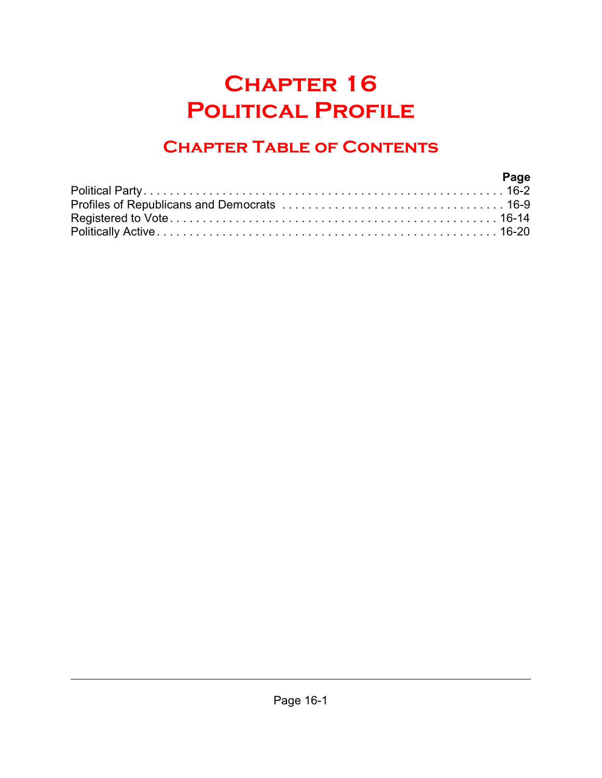# **Chapter 16 Political Profile**

## **Chapter Table of Contents**

| Page |
|------|
|      |
|      |
|      |
|      |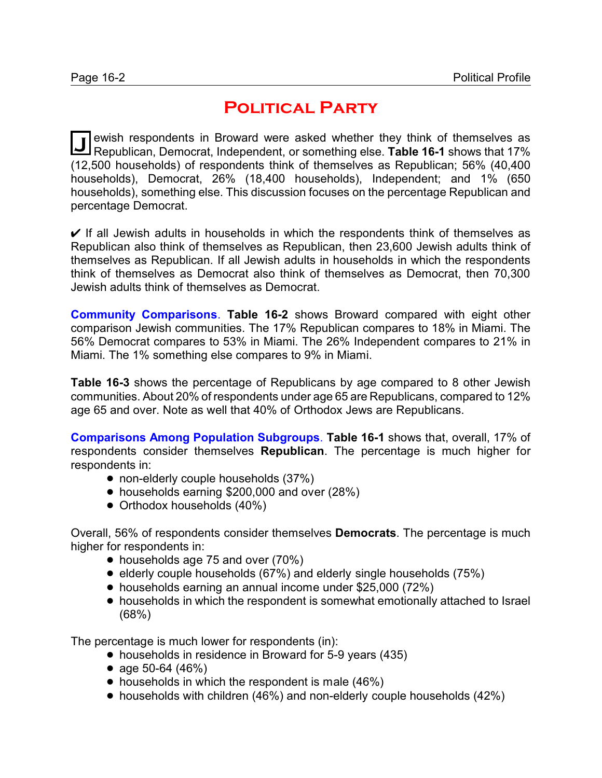## **Political Party**

**J** ewish respondents in Broward were asked whether they think of themselves as Republican, Democrat, Independent, or something else. Table 16-1 shows that 17% ewish respondents in Broward were asked whether they think of themselves as (12,500 households) of respondents think of themselves as Republican; 56% (40,400 households), Democrat, 26% (18,400 households), Independent; and 1% (650 households), something else. This discussion focuses on the percentage Republican and percentage Democrat.

 $\vee$  If all Jewish adults in households in which the respondents think of themselves as Republican also think of themselves as Republican, then 23,600 Jewish adults think of themselves as Republican. If all Jewish adults in households in which the respondents think of themselves as Democrat also think of themselves as Democrat, then 70,300 Jewish adults think of themselves as Democrat.

**Community Comparisons**. **Table 16-2** shows Broward compared with eight other comparison Jewish communities. The 17% Republican compares to 18% in Miami. The 56% Democrat compares to 53% in Miami. The 26% Independent compares to 21% in Miami. The 1% something else compares to 9% in Miami.

**Table 16-3** shows the percentage of Republicans by age compared to 8 other Jewish communities. About 20% of respondents under age 65 are Republicans, compared to 12% age 65 and over. Note as well that 40% of Orthodox Jews are Republicans.

**Comparisons Among Population Subgroups**. **Table 16-1** shows that, overall, 17% of respondents consider themselves **Republican**. The percentage is much higher for respondents in:

- non-elderly couple households (37%)
- households earning \$200,000 and over (28%)
- Orthodox households (40%)

Overall, 56% of respondents consider themselves **Democrats**. The percentage is much higher for respondents in:

- households age 75 and over (70%)
- elderly couple households (67%) and elderly single households (75%)
- households earning an annual income under \$25,000 (72%)
- households in which the respondent is somewhat emotionally attached to Israel (68%)

The percentage is much lower for respondents (in):

- households in residence in Broward for 5-9 years (435)
- age 50-64  $(46%)$
- $\bullet$  households in which the respondent is male (46%)
- households with children (46%) and non-elderly couple households (42%)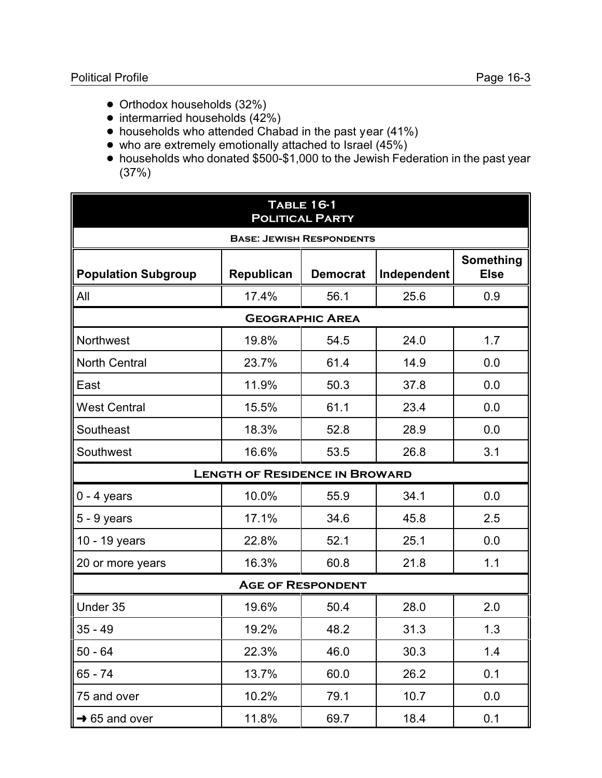- Orthodox households (32%)
- $\bullet$  intermarried households (42%)
- households who attended Chabad in the past year (41%)
- who are extremely emotionally attached to Israel (45%)
- ! households who donated \$500-\$1,000 to the Jewish Federation in the past year (37%)

| <b>TABLE 16-1</b><br><b>POLITICAL PARTY</b> |                                       |                                 |      |     |
|---------------------------------------------|---------------------------------------|---------------------------------|------|-----|
|                                             |                                       | <b>BASE: JEWISH RESPONDENTS</b> |      |     |
| <b>Population Subgroup</b>                  | <b>Something</b><br><b>Else</b>       |                                 |      |     |
| All                                         | 17.4%                                 | 56.1                            | 25.6 | 0.9 |
|                                             |                                       | <b>GEOGRAPHIC AREA</b>          |      |     |
| <b>Northwest</b>                            | 19.8%                                 | 54.5                            | 24.0 | 1.7 |
| <b>North Central</b>                        | 23.7%                                 | 61.4                            | 14.9 | 0.0 |
| East                                        | 11.9%                                 | 50.3                            | 37.8 | 0.0 |
| <b>West Central</b>                         | 15.5%                                 | 61.1                            | 23.4 | 0.0 |
| Southeast                                   | 18.3%                                 | 52.8                            | 28.9 | 0.0 |
| Southwest                                   | 16.6%                                 | 53.5                            | 26.8 | 3.1 |
|                                             | <b>LENGTH OF RESIDENCE IN BROWARD</b> |                                 |      |     |
| $0 - 4$ years                               | 10.0%                                 | 55.9                            | 34.1 | 0.0 |
| $5 - 9$ years                               | 17.1%                                 | 34.6                            | 45.8 | 2.5 |
| 10 - 19 years                               | 22.8%                                 | 52.1                            | 25.1 | 0.0 |
| 20 or more years                            | 16.3%                                 | 60.8                            | 21.8 | 1.1 |
|                                             |                                       | <b>AGE OF RESPONDENT</b>        |      |     |
| Under 35                                    | 19.6%                                 | 50.4                            | 28.0 | 2.0 |
| $35 - 49$                                   | 19.2%                                 | 48.2                            | 31.3 | 1.3 |
| $50 - 64$                                   | 22.3%                                 | 46.0                            | 30.3 | 1.4 |
| $65 - 74$                                   | 13.7%                                 | 60.0                            | 26.2 | 0.1 |
| 75 and over                                 | 10.2%                                 | 79.1                            | 10.7 | 0.0 |
| $\rightarrow$ 65 and over                   | 11.8%                                 | 69.7                            | 18.4 | 0.1 |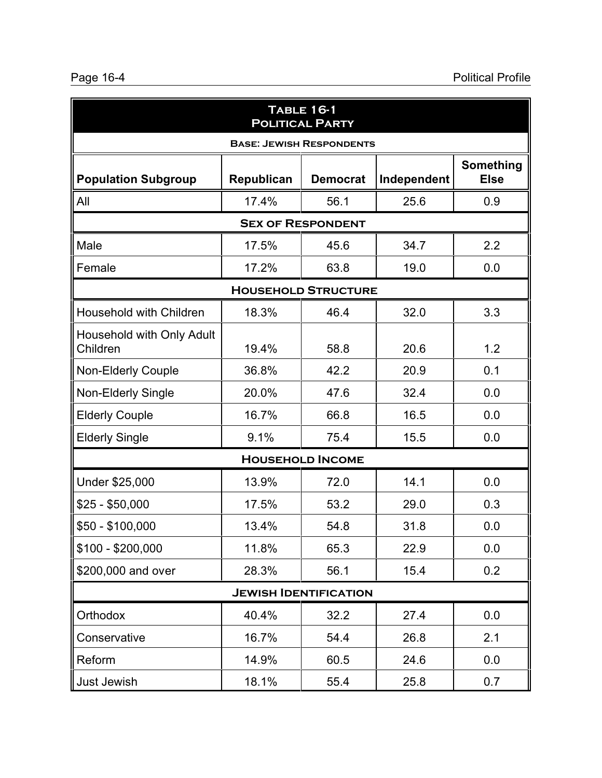| <b>TABLE 16-1</b><br><b>POLITICAL PARTY</b> |            |                                 |             |                                 |
|---------------------------------------------|------------|---------------------------------|-------------|---------------------------------|
|                                             |            | <b>BASE: JEWISH RESPONDENTS</b> |             |                                 |
| <b>Population Subgroup</b>                  | Republican | <b>Democrat</b>                 | Independent | <b>Something</b><br><b>Else</b> |
| All                                         | 17.4%      | 56.1                            | 25.6        | 0.9                             |
|                                             |            | <b>SEX OF RESPONDENT</b>        |             |                                 |
| Male                                        | 17.5%      | 45.6                            | 34.7        | 2.2                             |
| Female                                      | 17.2%      | 63.8                            | 19.0        | 0.0                             |
|                                             |            | <b>HOUSEHOLD STRUCTURE</b>      |             |                                 |
| <b>Household with Children</b>              | 18.3%      | 46.4                            | 32.0        | 3.3                             |
| Household with Only Adult<br>Children       | 19.4%      | 58.8                            | 20.6        | 1.2                             |
| Non-Elderly Couple                          | 36.8%      | 42.2                            | 20.9        | 0.1                             |
| Non-Elderly Single                          | 20.0%      | 47.6                            | 32.4        | 0.0                             |
| <b>Elderly Couple</b>                       | 16.7%      | 66.8                            | 16.5        | 0.0                             |
| <b>Elderly Single</b>                       | 9.1%       | 75.4                            | 15.5        | 0.0                             |
|                                             |            | <b>HOUSEHOLD INCOME</b>         |             |                                 |
| Under \$25,000                              | 13.9%      | 72.0                            | 14.1        | 0.0                             |
| $$25 - $50,000$                             | 17.5%      | 53.2                            | 29.0        | 0.3                             |
| $$50 - $100,000$                            | 13.4%      | 54.8                            | 31.8        | 0.0                             |
| $$100 - $200,000$                           | 11.8%      | 65.3                            | 22.9        | 0.0                             |
| \$200,000 and over                          | 28.3%      | 56.1                            | 15.4        | 0.2                             |
| <b>JEWISH IDENTIFICATION</b>                |            |                                 |             |                                 |
| Orthodox                                    | 40.4%      | 32.2                            | 27.4        | 0.0                             |
| Conservative                                | 16.7%      | 54.4                            | 26.8        | 2.1                             |
| Reform                                      | 14.9%      | 60.5                            | 24.6        | 0.0                             |
| Just Jewish                                 | 18.1%      | 55.4                            | 25.8        | 0.7                             |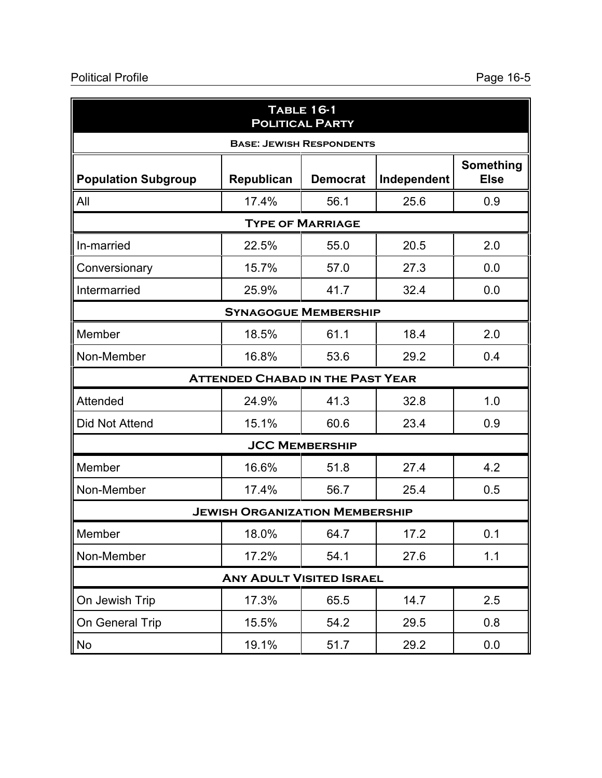## Political Profile Page 16-5

| <b>TABLE 16-1</b><br><b>POLITICAL PARTY</b> |                                         |                                 |      |     |
|---------------------------------------------|-----------------------------------------|---------------------------------|------|-----|
|                                             |                                         | <b>BASE: JEWISH RESPONDENTS</b> |      |     |
| <b>Population Subgroup</b>                  | <b>Something</b><br><b>Else</b>         |                                 |      |     |
| All                                         | 17.4%                                   | 56.1                            | 25.6 | 0.9 |
|                                             |                                         | <b>TYPE OF MARRIAGE</b>         |      |     |
| In-married                                  | 22.5%                                   | 55.0                            | 20.5 | 2.0 |
| Conversionary                               | 15.7%                                   | 57.0                            | 27.3 | 0.0 |
| Intermarried                                | 25.9%                                   | 41.7                            | 32.4 | 0.0 |
|                                             | <b>SYNAGOGUE MEMBERSHIP</b>             |                                 |      |     |
| Member                                      | 18.5%                                   | 61.1                            | 18.4 | 2.0 |
| Non-Member                                  | 16.8%                                   | 53.6                            | 29.2 | 0.4 |
|                                             | <b>ATTENDED CHABAD IN THE PAST YEAR</b> |                                 |      |     |
| Attended                                    | 24.9%                                   | 41.3                            | 32.8 | 1.0 |
| <b>Did Not Attend</b>                       | 15.1%                                   | 60.6                            | 23.4 | 0.9 |
|                                             |                                         | <b>JCC MEMBERSHIP</b>           |      |     |
| Member                                      | 16.6%                                   | 51.8                            | 27.4 | 4.2 |
| Non-Member                                  | 17.4%                                   | 56.7                            | 25.4 | 0.5 |
|                                             | <b>JEWISH ORGANIZATION MEMBERSHIP</b>   |                                 |      |     |
| Member                                      | 18.0%                                   | 64.7                            | 17.2 | 0.1 |
| Non-Member                                  | 17.2%                                   | 54.1                            | 27.6 | 1.1 |
| <b>ANY ADULT VISITED ISRAEL</b>             |                                         |                                 |      |     |
| On Jewish Trip                              | 17.3%                                   | 65.5                            | 14.7 | 2.5 |
| On General Trip                             | 15.5%                                   | 54.2                            | 29.5 | 0.8 |
| No                                          | 19.1%                                   | 51.7                            | 29.2 | 0.0 |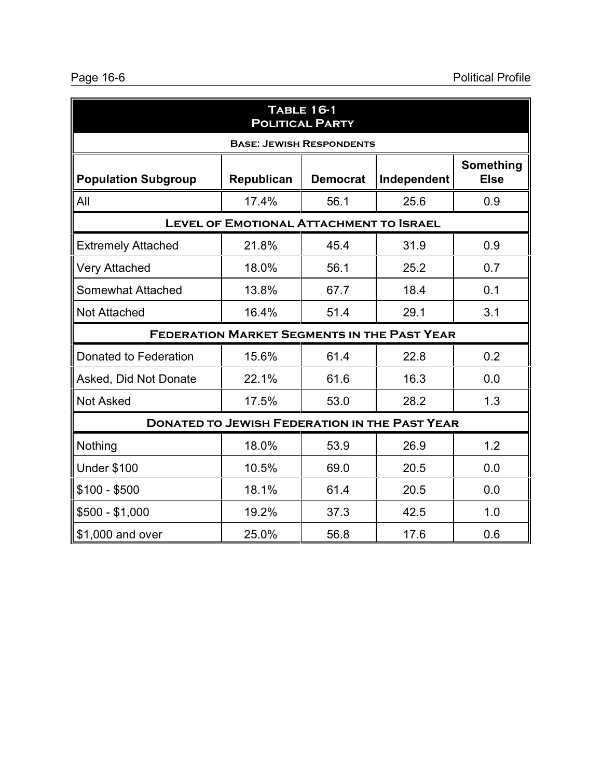| <b>TABLE 16-1</b><br><b>POLITICAL PARTY</b>                                                            |                                                      |                                 |      |     |  |  |
|--------------------------------------------------------------------------------------------------------|------------------------------------------------------|---------------------------------|------|-----|--|--|
|                                                                                                        |                                                      | <b>BASE: JEWISH RESPONDENTS</b> |      |     |  |  |
| Something<br>Independent<br><b>Else</b><br><b>Population Subgroup</b><br>Republican<br><b>Democrat</b> |                                                      |                                 |      |     |  |  |
| All                                                                                                    | 17.4%                                                | 56.1                            | 25.6 | 0.9 |  |  |
|                                                                                                        | <b>LEVEL OF EMOTIONAL ATTACHMENT TO ISRAEL</b>       |                                 |      |     |  |  |
| <b>Extremely Attached</b>                                                                              | 21.8%                                                | 45.4                            | 31.9 | 0.9 |  |  |
| <b>Very Attached</b>                                                                                   | 18.0%                                                | 56.1                            | 25.2 | 0.7 |  |  |
| Somewhat Attached                                                                                      | 13.8%                                                | 67.7                            | 18.4 | 0.1 |  |  |
| <b>Not Attached</b>                                                                                    | 16.4%                                                | 51.4                            | 29.1 | 3.1 |  |  |
|                                                                                                        | <b>FEDERATION MARKET SEGMENTS IN THE PAST YEAR</b>   |                                 |      |     |  |  |
| Donated to Federation                                                                                  | 15.6%                                                | 61.4                            | 22.8 | 0.2 |  |  |
| Asked, Did Not Donate                                                                                  | 22.1%                                                | 61.6                            | 16.3 | 0.0 |  |  |
| <b>Not Asked</b>                                                                                       | 17.5%                                                | 53.0                            | 28.2 | 1.3 |  |  |
|                                                                                                        | <b>DONATED TO JEWISH FEDERATION IN THE PAST YEAR</b> |                                 |      |     |  |  |
| Nothing                                                                                                | 18.0%                                                | 53.9                            | 26.9 | 1.2 |  |  |
| <b>Under \$100</b>                                                                                     | 10.5%                                                | 69.0                            | 20.5 | 0.0 |  |  |
| $$100 - $500$                                                                                          | 18.1%                                                | 61.4                            | 20.5 | 0.0 |  |  |
| $$500 - $1,000$                                                                                        | 19.2%                                                | 37.3                            | 42.5 | 1.0 |  |  |
| \$1,000 and over                                                                                       | 25.0%                                                | 56.8                            | 17.6 | 0.6 |  |  |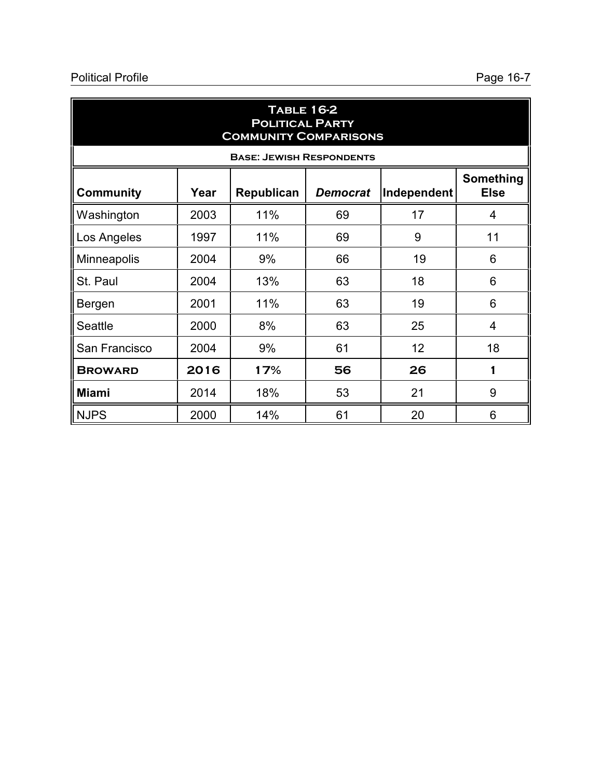| <b>TABLE 16-2</b><br><b>POLITICAL PARTY</b><br><b>COMMUNITY COMPARISONS</b> |      |                                 |                 |             |                          |
|-----------------------------------------------------------------------------|------|---------------------------------|-----------------|-------------|--------------------------|
|                                                                             |      | <b>BASE: JEWISH RESPONDENTS</b> |                 |             |                          |
| <b>Community</b>                                                            | Year | Republican                      | <b>Democrat</b> | Independent | Something<br><b>Else</b> |
| Washington                                                                  | 2003 | 11%                             | 69              | 17          | 4                        |
| Los Angeles                                                                 | 1997 | 11%                             | 69              | 9           | 11                       |
| Minneapolis                                                                 | 2004 | 9%                              | 66              | 19          | 6                        |
| St. Paul                                                                    | 2004 | 13%                             | 63              | 18          | 6                        |
| Bergen                                                                      | 2001 | 11%                             | 63              | 19          | 6                        |
| <b>Seattle</b>                                                              | 2000 | 8%                              | 63              | 25          | 4                        |
| San Francisco                                                               | 2004 | 9%                              | 61              | 12          | 18                       |
| <b>BROWARD</b>                                                              | 2016 | 17%                             | 56              | 26          | 1                        |
| <b>Miami</b>                                                                | 2014 | 18%                             | 53              | 21          | 9                        |
| <b>NJPS</b>                                                                 | 2000 | 14%                             | 61              | 20          | 6                        |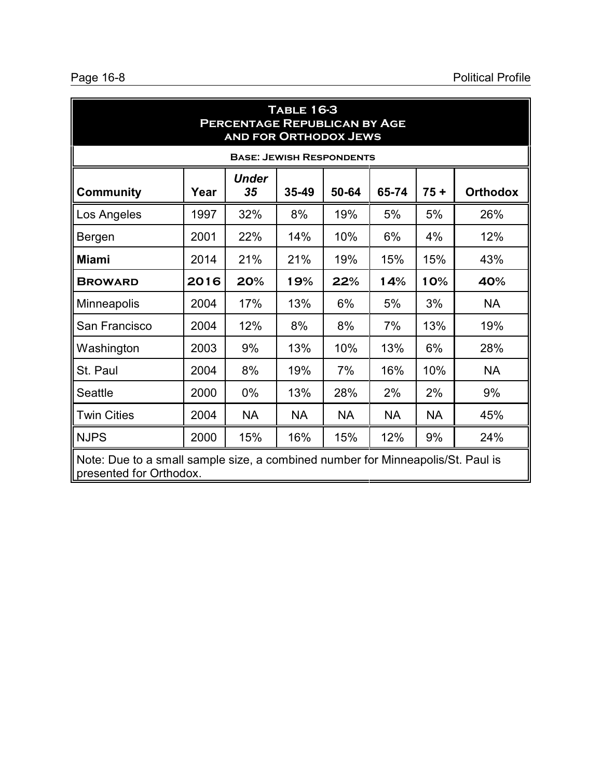| <b>TABLE 16-3</b><br><b>PERCENTAGE REPUBLICAN BY AGE</b><br><b>AND FOR ORTHODOX JEWS</b> |                                                                                                            |                                 |           |           |           |           |                 |
|------------------------------------------------------------------------------------------|------------------------------------------------------------------------------------------------------------|---------------------------------|-----------|-----------|-----------|-----------|-----------------|
|                                                                                          |                                                                                                            | <b>BASE: JEWISH RESPONDENTS</b> |           |           |           |           |                 |
| <b>Community</b>                                                                         | Year                                                                                                       | <b>Under</b><br>35              | 35-49     | 50-64     | 65-74     | $75 +$    | <b>Orthodox</b> |
| Los Angeles                                                                              | 1997                                                                                                       | 32%                             | 8%        | 19%       | 5%        | 5%        | 26%             |
| Bergen                                                                                   | 2001                                                                                                       | 22%                             | 14%       | 10%       | 6%        | 4%        | 12%             |
| <b>Miami</b>                                                                             | 2014                                                                                                       | 21%                             | 21%       | 19%       | 15%       | 15%       | 43%             |
| <b>BROWARD</b>                                                                           | 2016                                                                                                       | 20%                             | 19%       | 22%       | 14%       | 10%       | 40%             |
| Minneapolis                                                                              | 2004                                                                                                       | 17%                             | 13%       | 6%        | 5%        | 3%        | <b>NA</b>       |
| San Francisco                                                                            | 2004                                                                                                       | 12%                             | 8%        | 8%        | 7%        | 13%       | 19%             |
| Washington                                                                               | 2003                                                                                                       | 9%                              | 13%       | 10%       | 13%       | 6%        | 28%             |
| St. Paul                                                                                 | 2004                                                                                                       | 8%                              | 19%       | 7%        | 16%       | 10%       | <b>NA</b>       |
| Seattle                                                                                  | 2000                                                                                                       | $0\%$                           | 13%       | 28%       | 2%        | 2%        | 9%              |
| <b>Twin Cities</b>                                                                       | 2004                                                                                                       | <b>NA</b>                       | <b>NA</b> | <b>NA</b> | <b>NA</b> | <b>NA</b> | 45%             |
| <b>NJPS</b>                                                                              | 2000                                                                                                       | 15%                             | 16%       | 15%       | 12%       | 9%        | 24%             |
|                                                                                          | Note: Due to a small sample size, a combined number for Minneapolis/St. Paul is<br>presented for Orthodox. |                                 |           |           |           |           |                 |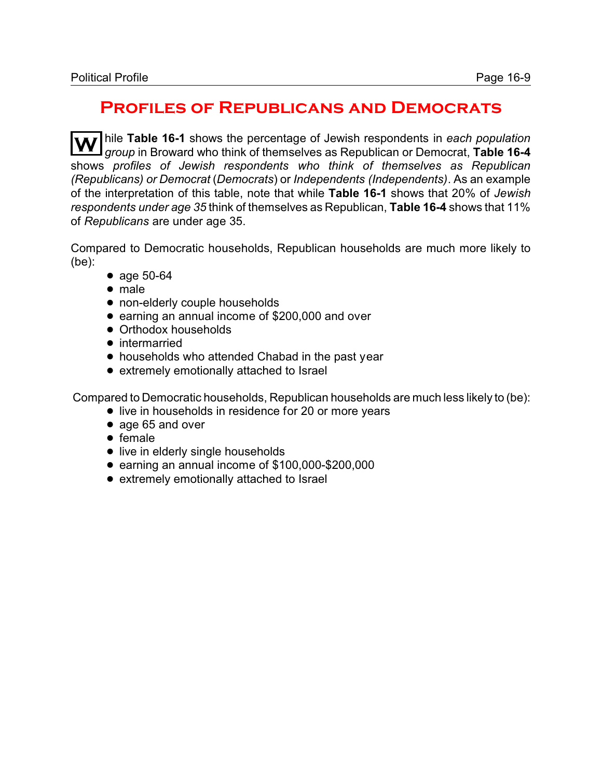#### **Profiles of Republicans and Democrats**

hile **Table 16-1** shows the percentage of Jewish respondents in each population *group* in Broward who think of themselves as Republican or Democrat, **Table 16-4** shows *profiles of Jewish respondents who think of themselves as Republican (Republicans) or Democrat* (*Democrats*) or *Independents (Independents)*. As an example of the interpretation of this table, note that while **Table 16-1** shows that 20% of *Jewish respondents under age 35* think of themselves as Republican, **Table 16-4** shows that 11% of *Republicans* are under age 35.

Compared to Democratic households, Republican households are much more likely to (be):

- age 50-64
- male
- non-elderly couple households
- earning an annual income of \$200,000 and over
- Orthodox households
- intermarried
- households who attended Chabad in the past year
- extremely emotionally attached to Israel

Compared to Democratic households, Republican households are much less likely to (be):

- live in households in residence for 20 or more years
- age 65 and over
- $\bullet$  female
- live in elderly single households
- earning an annual income of \$100,000-\$200,000
- extremely emotionally attached to Israel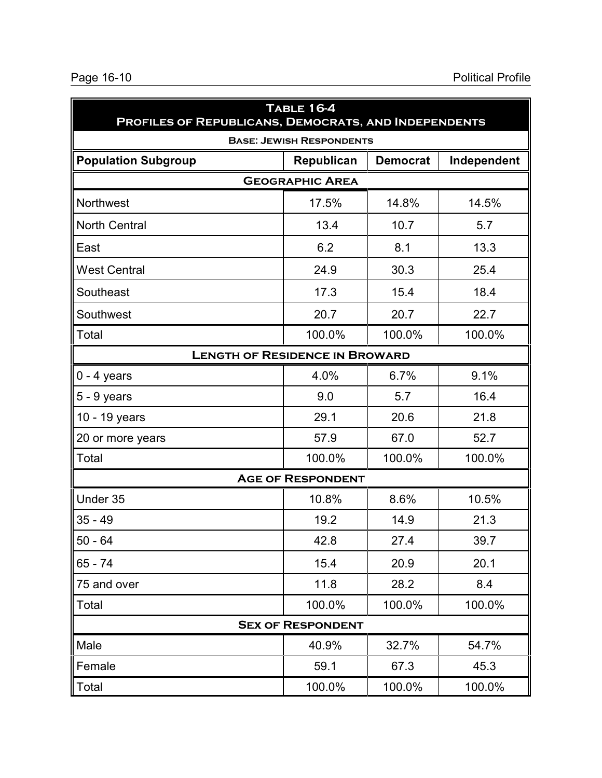| <b>TABLE 16-4</b><br>PROFILES OF REPUBLICANS, DEMOCRATS, AND INDEPENDENTS |                                 |                 |             |  |
|---------------------------------------------------------------------------|---------------------------------|-----------------|-------------|--|
|                                                                           | <b>BASE: JEWISH RESPONDENTS</b> |                 |             |  |
| <b>Population Subgroup</b>                                                | Republican                      | <b>Democrat</b> | Independent |  |
| <b>GEOGRAPHIC AREA</b>                                                    |                                 |                 |             |  |
| Northwest                                                                 | 17.5%                           | 14.8%           | 14.5%       |  |
| <b>North Central</b>                                                      | 13.4                            | 10.7            | 5.7         |  |
| East                                                                      | 6.2                             | 8.1             | 13.3        |  |
| <b>West Central</b>                                                       | 24.9                            | 30.3            | 25.4        |  |
| Southeast                                                                 | 17.3                            | 15.4            | 18.4        |  |
| Southwest                                                                 | 20.7                            | 20.7            | 22.7        |  |
| Total                                                                     | 100.0%                          | 100.0%          | 100.0%      |  |
| <b>LENGTH OF RESIDENCE IN BROWARD</b>                                     |                                 |                 |             |  |
| $0 - 4$ years                                                             | 4.0%                            | 6.7%            | 9.1%        |  |
| $5 - 9$ years                                                             | 9.0                             | 5.7             | 16.4        |  |
| 10 - 19 years                                                             | 29.1                            | 20.6            | 21.8        |  |
| 20 or more years                                                          | 57.9                            | 67.0            | 52.7        |  |
| Total                                                                     | 100.0%                          | 100.0%          | 100.0%      |  |
|                                                                           | <b>AGE OF RESPONDENT</b>        |                 |             |  |
| Under 35                                                                  | 10.8%                           | 8.6%            | 10.5%       |  |
| $35 - 49$                                                                 | 19.2                            | 14.9            | 21.3        |  |
| $50 - 64$                                                                 | 42.8                            | 27.4            | 39.7        |  |
| $65 - 74$                                                                 | 15.4                            | 20.9            | 20.1        |  |
| 75 and over                                                               | 11.8                            | 28.2            | 8.4         |  |
| Total                                                                     | 100.0%                          | 100.0%          | 100.0%      |  |
|                                                                           | <b>SEX OF RESPONDENT</b>        |                 |             |  |
| Male                                                                      | 40.9%                           | 32.7%           | 54.7%       |  |
| Female                                                                    | 59.1                            | 67.3            | 45.3        |  |
| Total                                                                     | 100.0%                          | 100.0%          | 100.0%      |  |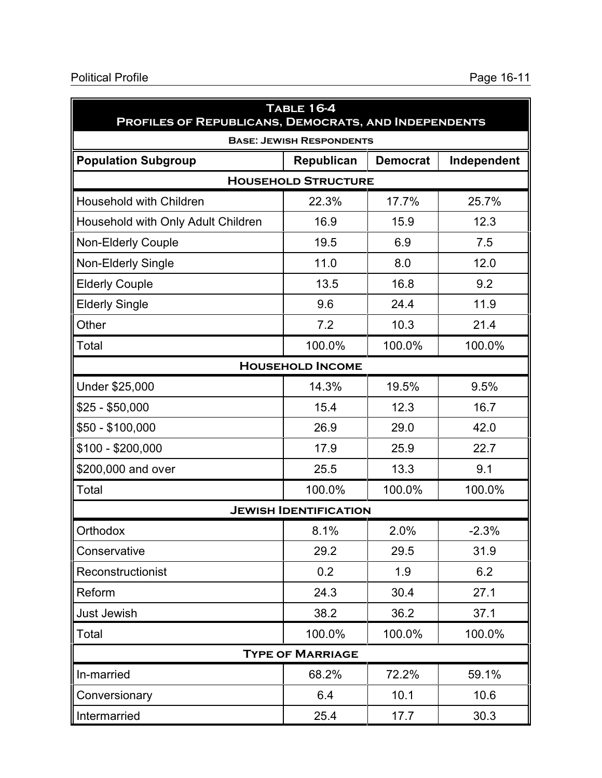| <b>TABLE 16-4</b><br>PROFILES OF REPUBLICANS, DEMOCRATS, AND INDEPENDENTS |                                 |                 |             |  |  |
|---------------------------------------------------------------------------|---------------------------------|-----------------|-------------|--|--|
|                                                                           | <b>BASE: JEWISH RESPONDENTS</b> |                 |             |  |  |
| <b>Population Subgroup</b>                                                | Republican                      | <b>Democrat</b> | Independent |  |  |
| <b>HOUSEHOLD STRUCTURE</b>                                                |                                 |                 |             |  |  |
| <b>Household with Children</b>                                            | 22.3%                           | 17.7%           | 25.7%       |  |  |
| Household with Only Adult Children                                        | 16.9                            | 15.9            | 12.3        |  |  |
| Non-Elderly Couple                                                        | 19.5                            | 6.9             | 7.5         |  |  |
| Non-Elderly Single                                                        | 11.0                            | 8.0             | 12.0        |  |  |
| <b>Elderly Couple</b>                                                     | 13.5                            | 16.8            | 9.2         |  |  |
| <b>Elderly Single</b>                                                     | 9.6                             | 24.4            | 11.9        |  |  |
| Other                                                                     | 7.2                             | 10.3            | 21.4        |  |  |
| Total                                                                     | 100.0%                          | 100.0%          | 100.0%      |  |  |
| <b>HOUSEHOLD INCOME</b>                                                   |                                 |                 |             |  |  |
| Under \$25,000                                                            | 14.3%                           | 19.5%           | 9.5%        |  |  |
| $$25 - $50,000$                                                           | 15.4                            | 12.3            | 16.7        |  |  |
| $$50 - $100,000$                                                          | 26.9                            | 29.0            | 42.0        |  |  |
| $$100 - $200,000$                                                         | 17.9                            | 25.9            | 22.7        |  |  |
| \$200,000 and over                                                        | 25.5                            | 13.3            | 9.1         |  |  |
| Total                                                                     | 100.0%                          | 100.0%          | 100.0%      |  |  |
|                                                                           | <b>JEWISH IDENTIFICATION</b>    |                 |             |  |  |
| Orthodox                                                                  | 8.1%                            | 2.0%            | $-2.3%$     |  |  |
| Conservative                                                              | 29.2                            | 29.5            | 31.9        |  |  |
| Reconstructionist                                                         | 0.2                             | 1.9             | 6.2         |  |  |
| Reform                                                                    | 24.3                            | 30.4            | 27.1        |  |  |
| Just Jewish                                                               | 38.2                            | 36.2            | 37.1        |  |  |
| Total                                                                     | 100.0%                          | 100.0%          | 100.0%      |  |  |
| <b>TYPE OF MARRIAGE</b>                                                   |                                 |                 |             |  |  |
| In-married                                                                | 68.2%                           | 72.2%           | 59.1%       |  |  |
| Conversionary                                                             | 6.4                             | 10.1            | 10.6        |  |  |
| Intermarried                                                              | 25.4                            | 17.7            | 30.3        |  |  |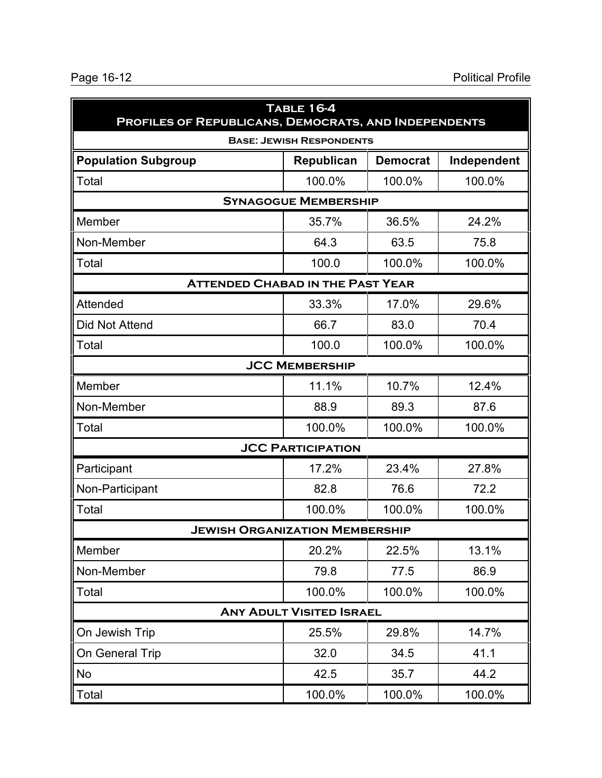| <b>TABLE 16-4</b><br>PROFILES OF REPUBLICANS, DEMOCRATS, AND INDEPENDENTS |                                 |                 |             |  |
|---------------------------------------------------------------------------|---------------------------------|-----------------|-------------|--|
|                                                                           | <b>BASE: JEWISH RESPONDENTS</b> |                 |             |  |
| <b>Population Subgroup</b>                                                | Republican                      | <b>Democrat</b> | Independent |  |
| Total                                                                     | 100.0%                          | 100.0%          | 100.0%      |  |
| <b>SYNAGOGUE MEMBERSHIP</b>                                               |                                 |                 |             |  |
| Member                                                                    | 35.7%                           | 36.5%           | 24.2%       |  |
| Non-Member                                                                | 64.3                            | 63.5            | 75.8        |  |
| Total                                                                     | 100.0                           | 100.0%          | 100.0%      |  |
| <b>ATTENDED CHABAD IN THE PAST YEAR</b>                                   |                                 |                 |             |  |
| <b>Attended</b>                                                           | 33.3%                           | 17.0%           | 29.6%       |  |
| Did Not Attend                                                            | 66.7                            | 83.0            | 70.4        |  |
| Total                                                                     | 100.0                           | 100.0%          | 100.0%      |  |
|                                                                           | <b>JCC MEMBERSHIP</b>           |                 |             |  |
| Member                                                                    | 11.1%                           | 10.7%           | 12.4%       |  |
| Non-Member                                                                | 88.9                            | 89.3            | 87.6        |  |
| Total                                                                     | 100.0%                          | 100.0%          | 100.0%      |  |
|                                                                           | <b>JCC PARTICIPATION</b>        |                 |             |  |
| Participant                                                               | 17.2%                           | 23.4%           | 27.8%       |  |
| Non-Participant                                                           | 82.8                            | 76.6            | 72.2        |  |
| Total                                                                     | 100.0%                          | 100.0%          | 100.0%      |  |
| <b>JEWISH ORGANIZATION MEMBERSHIP</b>                                     |                                 |                 |             |  |
| Member                                                                    | 20.2%                           | 22.5%           | 13.1%       |  |
| Non-Member                                                                | 79.8                            | 77.5            | 86.9        |  |
| Total                                                                     | 100.0%                          | 100.0%          | 100.0%      |  |
|                                                                           | <b>ANY ADULT VISITED ISRAEL</b> |                 |             |  |
| On Jewish Trip                                                            | 25.5%                           | 29.8%           | 14.7%       |  |
| On General Trip                                                           | 32.0                            | 34.5            | 41.1        |  |
| No                                                                        | 42.5                            | 35.7            | 44.2        |  |
| Total                                                                     | 100.0%                          | 100.0%          | 100.0%      |  |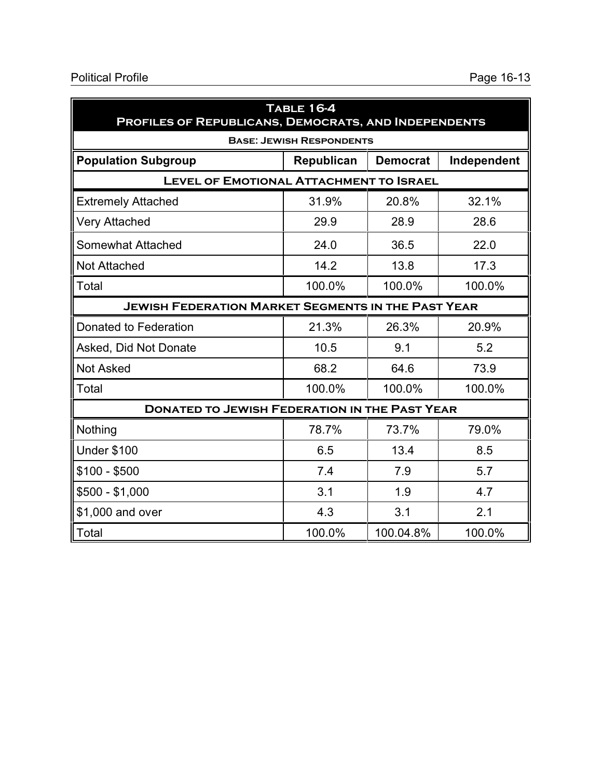| <b>TABLE 16-4</b><br><b>PROFILES OF REPUBLICANS, DEMOCRATS, AND INDEPENDENTS</b> |                                 |                 |             |
|----------------------------------------------------------------------------------|---------------------------------|-----------------|-------------|
|                                                                                  | <b>BASE: JEWISH RESPONDENTS</b> |                 |             |
| <b>Population Subgroup</b>                                                       | Republican                      | <b>Democrat</b> | Independent |
| <b>LEVEL OF EMOTIONAL ATTACHMENT TO ISRAEL</b>                                   |                                 |                 |             |
| <b>Extremely Attached</b>                                                        | 31.9%                           | 20.8%           | 32.1%       |
| <b>Very Attached</b>                                                             | 29.9                            | 28.9            | 28.6        |
| Somewhat Attached                                                                | 24.0                            | 36.5            | 22.0        |
| <b>Not Attached</b>                                                              | 14.2                            | 13.8            | 17.3        |
| Total                                                                            | 100.0%                          | 100.0%          | 100.0%      |
| <b>JEWISH FEDERATION MARKET SEGMENTS IN THE PAST YEAR</b>                        |                                 |                 |             |
| Donated to Federation                                                            | 21.3%                           | 26.3%           | 20.9%       |
| Asked, Did Not Donate                                                            | 10.5                            | 9.1             | 5.2         |
| <b>Not Asked</b>                                                                 | 68.2                            | 64.6            | 73.9        |
| Total                                                                            | 100.0%                          | 100.0%          | 100.0%      |
| <b>DONATED TO JEWISH FEDERATION IN THE PAST YEAR</b>                             |                                 |                 |             |
| Nothing                                                                          | 78.7%                           | 73.7%           | 79.0%       |
| <b>Under \$100</b>                                                               | 6.5                             | 13.4            | 8.5         |
| $$100 - $500$                                                                    | 7.4                             | 7.9             | 5.7         |
| $$500 - $1,000$                                                                  | 3.1                             | 1.9             | 4.7         |
| \$1,000 and over                                                                 | 4.3                             | 3.1             | 2.1         |
| Total                                                                            | 100.0%                          | 100.04.8%       | 100.0%      |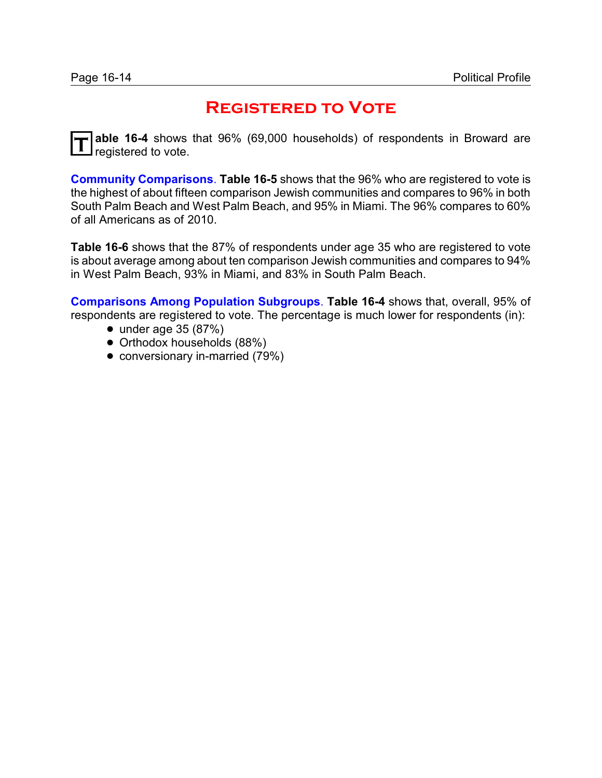## **Registered to Vote**

**T able 16-4** shows that 96% (69,000 households) of respondents in Broward are registered to vote.

**Community Comparisons**. **Table 16-5** shows that the 96% who are registered to vote is the highest of about fifteen comparison Jewish communities and compares to 96% in both South Palm Beach and West Palm Beach, and 95% in Miami. The 96% compares to 60% of all Americans as of 2010.

**Table 16-6** shows that the 87% of respondents under age 35 who are registered to vote is about average among about ten comparison Jewish communities and compares to 94% in West Palm Beach, 93% in Miami, and 83% in South Palm Beach.

**Comparisons Among Population Subgroups**. **Table 16-4** shows that, overall, 95% of respondents are registered to vote. The percentage is much lower for respondents (in):

- $\bullet$  under age 35 (87%)
- Orthodox households (88%)
- conversionary in-married (79%)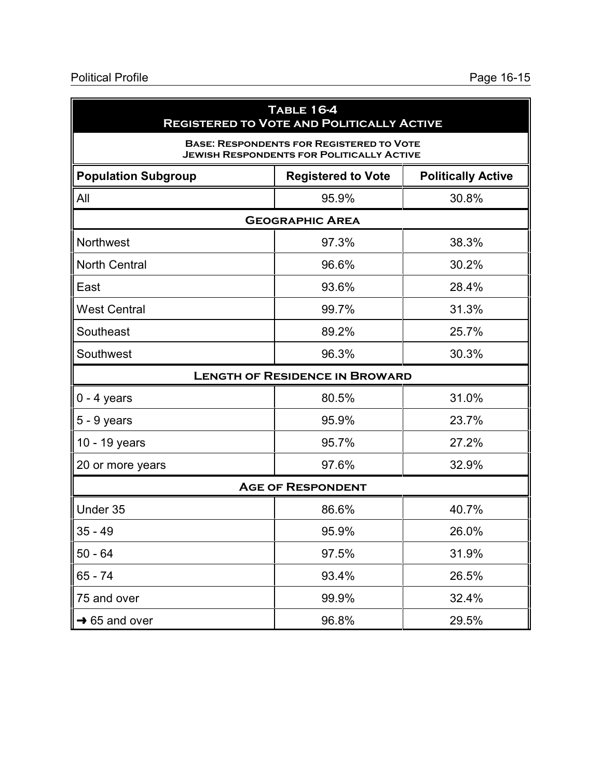| <b>TABLE 16-4</b><br><b>REGISTERED TO VOTE AND POLITICALLY ACTIVE</b>                               |                                       |                           |  |  |
|-----------------------------------------------------------------------------------------------------|---------------------------------------|---------------------------|--|--|
| <b>BASE: RESPONDENTS FOR REGISTERED TO VOTE</b><br><b>JEWISH RESPONDENTS FOR POLITICALLY ACTIVE</b> |                                       |                           |  |  |
| <b>Population Subgroup</b>                                                                          | <b>Registered to Vote</b>             | <b>Politically Active</b> |  |  |
| All                                                                                                 | 95.9%                                 | 30.8%                     |  |  |
|                                                                                                     | <b>GEOGRAPHIC AREA</b>                |                           |  |  |
| <b>Northwest</b>                                                                                    | 97.3%                                 | 38.3%                     |  |  |
| <b>North Central</b>                                                                                | 96.6%                                 | 30.2%                     |  |  |
| East                                                                                                | 93.6%                                 | 28.4%                     |  |  |
| <b>West Central</b>                                                                                 | 99.7%                                 | 31.3%                     |  |  |
| Southeast                                                                                           | 89.2%                                 | 25.7%                     |  |  |
| Southwest                                                                                           | 96.3%                                 | 30.3%                     |  |  |
|                                                                                                     | <b>LENGTH OF RESIDENCE IN BROWARD</b> |                           |  |  |
| $0 - 4$ years                                                                                       | 80.5%                                 | 31.0%                     |  |  |
| $5 - 9$ years                                                                                       | 95.9%                                 | 23.7%                     |  |  |
| 10 - 19 years                                                                                       | 95.7%                                 | 27.2%                     |  |  |
| 20 or more years                                                                                    | 97.6%                                 | 32.9%                     |  |  |
|                                                                                                     | <b>AGE OF RESPONDENT</b>              |                           |  |  |
| Under 35                                                                                            | 86.6%                                 | 40.7%                     |  |  |
| $35 - 49$                                                                                           | 95.9%                                 | 26.0%                     |  |  |
| $50 - 64$                                                                                           | 97.5%                                 | 31.9%                     |  |  |
| 65 - 74                                                                                             | 93.4%                                 | 26.5%                     |  |  |
| 75 and over                                                                                         | 99.9%                                 | 32.4%                     |  |  |
| $\rightarrow$ 65 and over                                                                           | 96.8%                                 | 29.5%                     |  |  |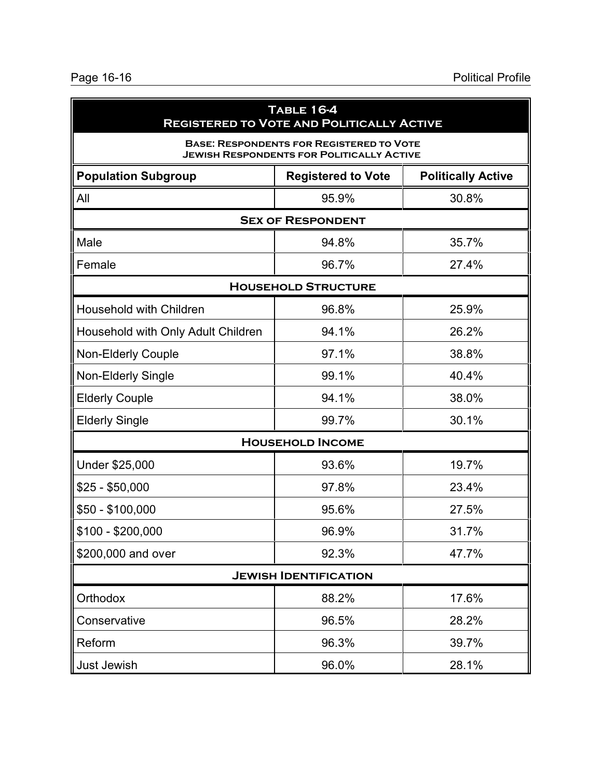| <b>TABLE 16-4</b><br><b>REGISTERED TO VOTE AND POLITICALLY ACTIVE</b>                               |                            |       |  |  |  |  |
|-----------------------------------------------------------------------------------------------------|----------------------------|-------|--|--|--|--|
| <b>BASE: RESPONDENTS FOR REGISTERED TO VOTE</b><br><b>JEWISH RESPONDENTS FOR POLITICALLY ACTIVE</b> |                            |       |  |  |  |  |
| <b>Population Subgroup</b><br><b>Politically Active</b><br><b>Registered to Vote</b>                |                            |       |  |  |  |  |
| All                                                                                                 | 95.9%                      | 30.8% |  |  |  |  |
|                                                                                                     | <b>SEX OF RESPONDENT</b>   |       |  |  |  |  |
| Male                                                                                                | 94.8%                      | 35.7% |  |  |  |  |
| Female                                                                                              | 96.7%                      | 27.4% |  |  |  |  |
|                                                                                                     | <b>HOUSEHOLD STRUCTURE</b> |       |  |  |  |  |
| <b>Household with Children</b>                                                                      | 96.8%                      | 25.9% |  |  |  |  |
| Household with Only Adult Children                                                                  | 94.1%                      | 26.2% |  |  |  |  |
| Non-Elderly Couple                                                                                  | 97.1%                      | 38.8% |  |  |  |  |
| Non-Elderly Single                                                                                  | 99.1%                      | 40.4% |  |  |  |  |
| <b>Elderly Couple</b>                                                                               | 94.1%                      | 38.0% |  |  |  |  |
| <b>Elderly Single</b>                                                                               | 99.7%                      | 30.1% |  |  |  |  |
|                                                                                                     | <b>HOUSEHOLD INCOME</b>    |       |  |  |  |  |
| Under \$25,000<br>19.7%<br>93.6%                                                                    |                            |       |  |  |  |  |
| $$25 - $50,000$                                                                                     | 97.8%                      | 23.4% |  |  |  |  |
| $$50 - $100,000$                                                                                    | 95.6%                      | 27.5% |  |  |  |  |
| $$100 - $200,000$                                                                                   | 96.9%                      | 31.7% |  |  |  |  |
| \$200,000 and over                                                                                  | 92.3%                      | 47.7% |  |  |  |  |
| <b>JEWISH IDENTIFICATION</b>                                                                        |                            |       |  |  |  |  |
| Orthodox                                                                                            | 88.2%                      | 17.6% |  |  |  |  |
| Conservative                                                                                        | 96.5%                      | 28.2% |  |  |  |  |
| Reform                                                                                              | 96.3%                      | 39.7% |  |  |  |  |
| Just Jewish                                                                                         | 96.0%                      | 28.1% |  |  |  |  |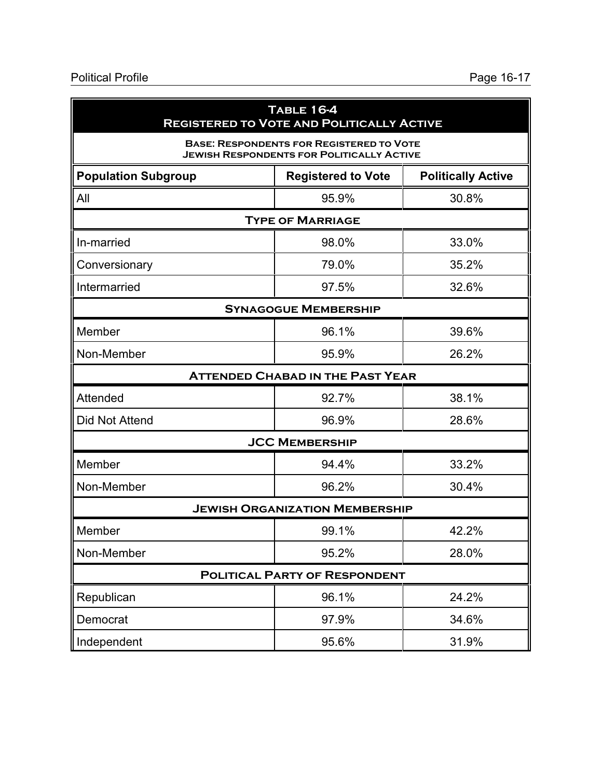| <b>TABLE 16-4</b><br><b>REGISTERED TO VOTE AND POLITICALLY ACTIVE</b>                               |                             |       |  |  |  |  |
|-----------------------------------------------------------------------------------------------------|-----------------------------|-------|--|--|--|--|
| <b>BASE: RESPONDENTS FOR REGISTERED TO VOTE</b><br><b>JEWISH RESPONDENTS FOR POLITICALLY ACTIVE</b> |                             |       |  |  |  |  |
| <b>Population Subgroup</b><br><b>Politically Active</b><br><b>Registered to Vote</b>                |                             |       |  |  |  |  |
| All                                                                                                 | 95.9%                       | 30.8% |  |  |  |  |
|                                                                                                     | <b>TYPE OF MARRIAGE</b>     |       |  |  |  |  |
| 98.0%<br>33.0%<br>In-married                                                                        |                             |       |  |  |  |  |
| Conversionary                                                                                       | 79.0%                       | 35.2% |  |  |  |  |
| Intermarried<br>97.5%<br>32.6%                                                                      |                             |       |  |  |  |  |
|                                                                                                     | <b>SYNAGOGUE MEMBERSHIP</b> |       |  |  |  |  |
| Member                                                                                              | 96.1%                       | 39.6% |  |  |  |  |
| Non-Member                                                                                          | 95.9%                       | 26.2% |  |  |  |  |
| <b>ATTENDED CHABAD IN THE PAST YEAR</b>                                                             |                             |       |  |  |  |  |
| <b>Attended</b><br>92.7%<br>38.1%                                                                   |                             |       |  |  |  |  |
| <b>Did Not Attend</b>                                                                               | 96.9%                       | 28.6% |  |  |  |  |
| <b>JCC MEMBERSHIP</b>                                                                               |                             |       |  |  |  |  |
| Member<br>94.4%                                                                                     |                             | 33.2% |  |  |  |  |
| Non-Member                                                                                          | 96.2%                       | 30.4% |  |  |  |  |
| <b>JEWISH ORGANIZATION MEMBERSHIP</b>                                                               |                             |       |  |  |  |  |
| Member                                                                                              | 99.1%                       | 42.2% |  |  |  |  |
| Non-Member                                                                                          | 95.2%                       | 28.0% |  |  |  |  |
| <b>POLITICAL PARTY OF RESPONDENT</b>                                                                |                             |       |  |  |  |  |
| Republican                                                                                          | 96.1%                       | 24.2% |  |  |  |  |
| Democrat                                                                                            | 97.9%                       | 34.6% |  |  |  |  |
| Independent<br>95.6%<br>31.9%                                                                       |                             |       |  |  |  |  |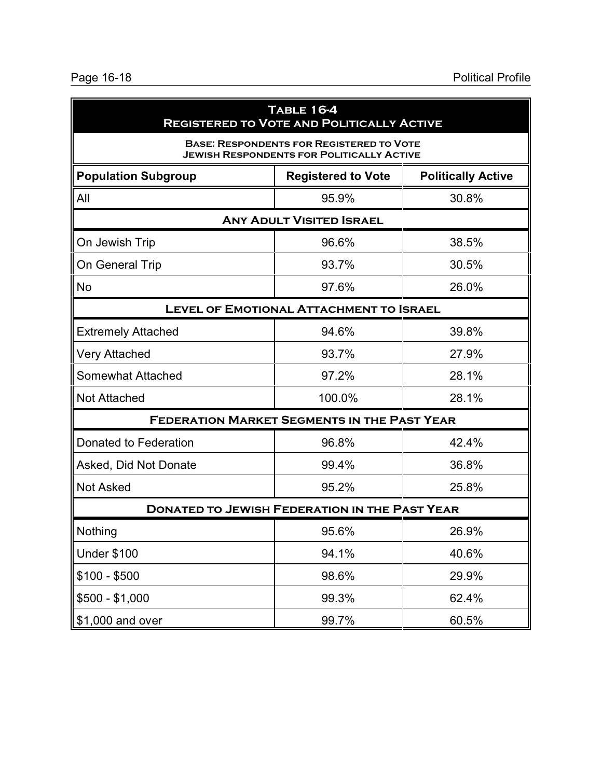| <b>TABLE 16-4</b><br><b>REGISTERED TO VOTE AND POLITICALLY ACTIVE</b>                               |                                                    |       |  |  |  |
|-----------------------------------------------------------------------------------------------------|----------------------------------------------------|-------|--|--|--|
| <b>BASE: RESPONDENTS FOR REGISTERED TO VOTE</b><br><b>JEWISH RESPONDENTS FOR POLITICALLY ACTIVE</b> |                                                    |       |  |  |  |
| <b>Population Subgroup</b><br><b>Politically Active</b><br><b>Registered to Vote</b>                |                                                    |       |  |  |  |
| All                                                                                                 | 95.9%                                              | 30.8% |  |  |  |
|                                                                                                     | <b>ANY ADULT VISITED ISRAEL</b>                    |       |  |  |  |
| On Jewish Trip                                                                                      | 96.6%                                              | 38.5% |  |  |  |
| On General Trip                                                                                     | 93.7%                                              | 30.5% |  |  |  |
| <b>No</b>                                                                                           | 26.0%                                              |       |  |  |  |
|                                                                                                     | <b>LEVEL OF EMOTIONAL ATTACHMENT TO ISRAEL</b>     |       |  |  |  |
| <b>Extremely Attached</b>                                                                           | 94.6%                                              | 39.8% |  |  |  |
| Very Attached                                                                                       | 93.7%                                              | 27.9% |  |  |  |
| Somewhat Attached                                                                                   | 97.2%                                              | 28.1% |  |  |  |
| <b>Not Attached</b>                                                                                 | 100.0%                                             | 28.1% |  |  |  |
|                                                                                                     | <b>FEDERATION MARKET SEGMENTS IN THE PAST YEAR</b> |       |  |  |  |
| Donated to Federation                                                                               | 96.8%                                              | 42.4% |  |  |  |
| Asked, Did Not Donate                                                                               | 99.4%                                              | 36.8% |  |  |  |
| <b>Not Asked</b>                                                                                    | 95.2%                                              | 25.8% |  |  |  |
| <b>DONATED TO JEWISH FEDERATION IN THE PAST YEAR</b>                                                |                                                    |       |  |  |  |
| Nothing                                                                                             | 95.6%                                              | 26.9% |  |  |  |
| <b>Under \$100</b>                                                                                  | 94.1%                                              | 40.6% |  |  |  |
| $$100 - $500$                                                                                       | 98.6%                                              | 29.9% |  |  |  |
| $$500 - $1,000$                                                                                     | 99.3%                                              | 62.4% |  |  |  |
| \$1,000 and over<br>99.7%<br>60.5%                                                                  |                                                    |       |  |  |  |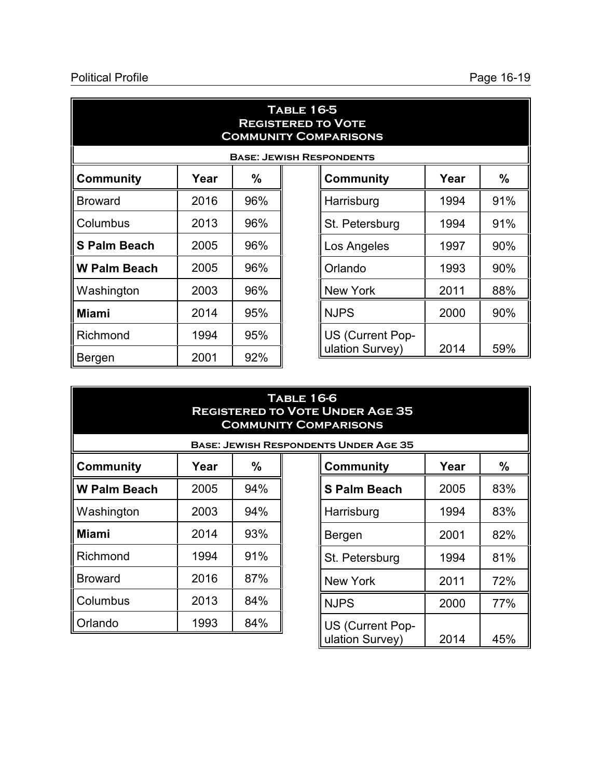#### Political Profile Political Profile Page 16-19

| <b>TABLE 16-5</b><br><b>REGISTERED TO VOTE</b><br><b>COMMUNITY COMPARISONS</b> |                                 |     |  |                  |      |     |  |
|--------------------------------------------------------------------------------|---------------------------------|-----|--|------------------|------|-----|--|
|                                                                                | <b>BASE: JEWISH RESPONDENTS</b> |     |  |                  |      |     |  |
| <b>Community</b>                                                               | Year                            | %   |  | <b>Community</b> | Year | %   |  |
| <b>Broward</b>                                                                 | 2016                            | 96% |  | Harrisburg       | 1994 | 91% |  |
| Columbus                                                                       | 2013                            | 96% |  | St. Petersburg   | 1994 | 91% |  |
| <b>S Palm Beach</b>                                                            | 2005                            | 96% |  | Los Angeles      | 1997 | 90% |  |
| <b>W Palm Beach</b>                                                            | 2005                            | 96% |  | Orlando          | 1993 | 90% |  |
| Washington                                                                     | 2003                            | 96% |  | <b>New York</b>  | 2011 | 88% |  |
| <b>Miami</b>                                                                   | 2014                            | 95% |  | <b>NJPS</b>      | 2000 | 90% |  |
| Richmond                                                                       | 1994                            | 95% |  | US (Current Pop- |      |     |  |
| Bergen                                                                         | 2001                            | 92% |  | ulation Survey)  | 2014 | 59% |  |

| <b>TABLE 16-6</b><br><b>REGISTERED TO VOTE UNDER AGE 35</b><br><b>COMMUNITY COMPARISONS</b> |      |     |  |                         |      |     |
|---------------------------------------------------------------------------------------------|------|-----|--|-------------------------|------|-----|
| <b>BASE: JEWISH RESPONDENTS UNDER AGE 35</b>                                                |      |     |  |                         |      |     |
| <b>Community</b>                                                                            | Year | %   |  | <b>Community</b>        | Year | %   |
| <b>W Palm Beach</b>                                                                         | 2005 | 94% |  | <b>S Palm Beach</b>     | 2005 | 83% |
| Washington                                                                                  | 2003 | 94% |  | Harrisburg              | 1994 | 83% |
| <b>Miami</b>                                                                                | 2014 | 93% |  | Bergen                  | 2001 | 82% |
| Richmond                                                                                    | 1994 | 91% |  | St. Petersburg          | 1994 | 81% |
| <b>Broward</b>                                                                              | 2016 | 87% |  | New York                | 2011 | 72% |
| Columbus                                                                                    | 2013 | 84% |  | <b>NJPS</b>             | 2000 | 77% |
| Orlando                                                                                     | 1993 | 84% |  | <b>US (Current Pop-</b> |      |     |

ulation Survey) | 2014 | 45%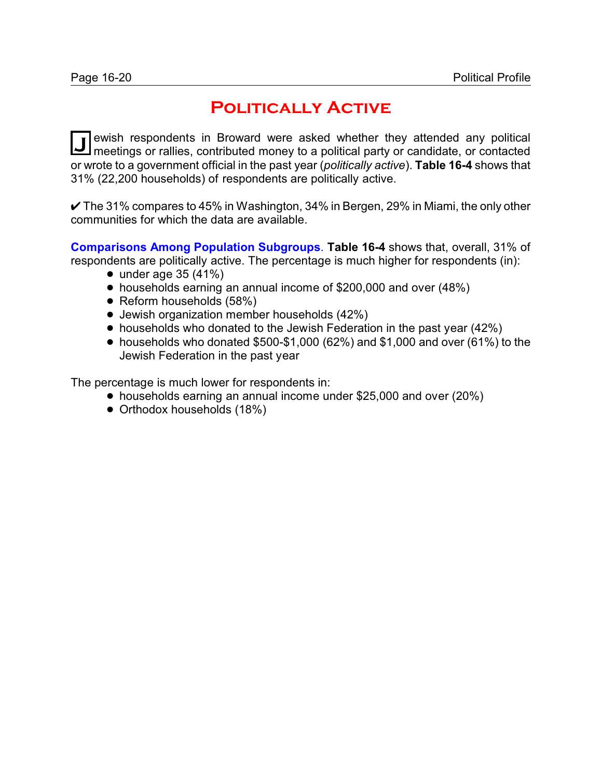## **Politically Active**

**J** ewish respondents in Broward were asked whether they attended any political meetings or rallies, contributed money to a political party or candidate, or contacted ewish respondents in Broward were asked whether they attended any political or wrote to a government official in the past year (*politically active*). **Table 16-4** shows that 31% (22,200 households) of respondents are politically active.

 $\checkmark$  The 31% compares to 45% in Washington, 34% in Bergen, 29% in Miami, the only other communities for which the data are available.

**Comparisons Among Population Subgroups**. **Table 16-4** shows that, overall, 31% of respondents are politically active. The percentage is much higher for respondents (in):

- $\bullet$  under age 35 (41%)
- households earning an annual income of \$200,000 and over (48%)
- Reform households (58%)
- Jewish organization member households (42%)
- households who donated to the Jewish Federation in the past year (42%)
- households who donated \$500-\$1,000 (62%) and \$1,000 and over (61%) to the Jewish Federation in the past year

The percentage is much lower for respondents in:

- households earning an annual income under \$25,000 and over (20%)
- Orthodox households (18%)